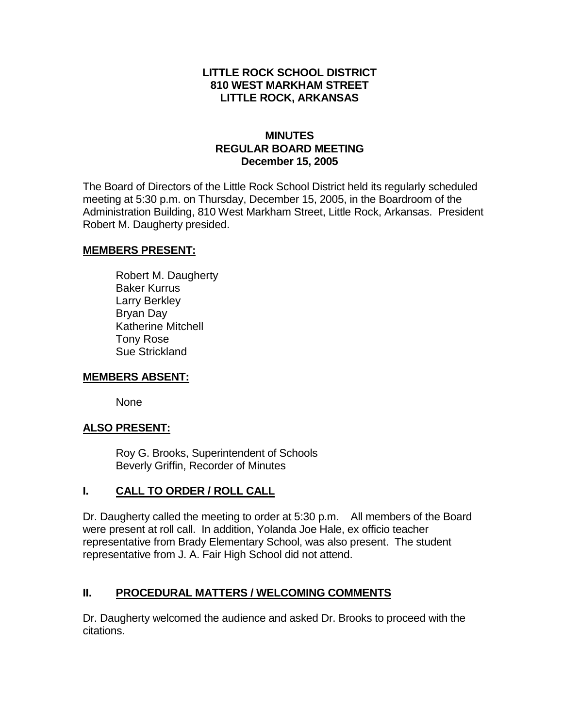### **LITTLE ROCK SCHOOL DISTRICT 810 WEST MARKHAM STREET LITTLE ROCK, ARKANSAS**

#### **MINUTES REGULAR BOARD MEETING December 15, 2005**

The Board of Directors of the Little Rock School District held its regularly scheduled meeting at 5:30 p.m. on Thursday, December 15, 2005, in the Boardroom of the Administration Building, 810 West Markham Street, Little Rock, Arkansas. President Robert M. Daugherty presided.

#### **MEMBERS PRESENT:**

Robert M. Daugherty Baker Kurrus Larry Berkley Bryan Day Katherine Mitchell Tony Rose Sue Strickland

#### **MEMBERS ABSENT:**

None

## **ALSO PRESENT:**

Roy G. Brooks, Superintendent of Schools Beverly Griffin, Recorder of Minutes

## **I. CALL TO ORDER / ROLL CALL**

Dr. Daugherty called the meeting to order at 5:30 p.m. All members of the Board were present at roll call. In addition, Yolanda Joe Hale, ex officio teacher representative from Brady Elementary School, was also present. The student representative from J. A. Fair High School did not attend.

## **II. PROCEDURAL MATTERS / WELCOMING COMMENTS**

Dr. Daugherty welcomed the audience and asked Dr. Brooks to proceed with the citations.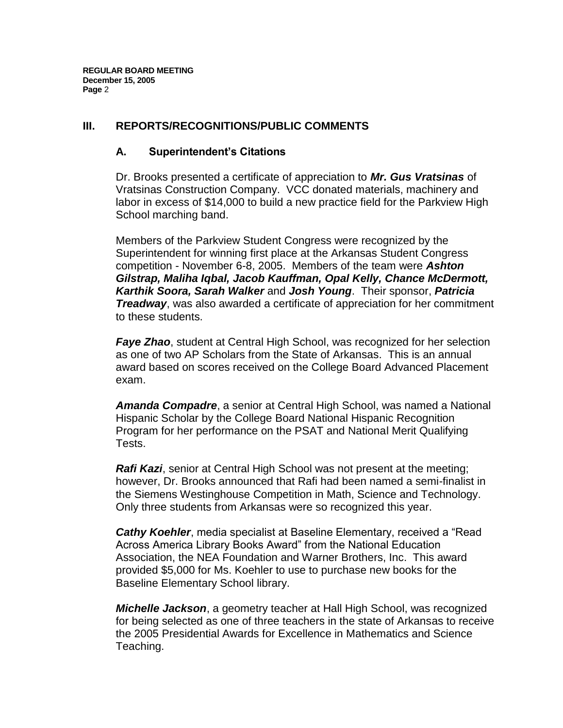### **III. REPORTS/RECOGNITIONS/PUBLIC COMMENTS**

### **A. Superintendent's Citations**

Dr. Brooks presented a certificate of appreciation to *Mr. Gus Vratsinas* of Vratsinas Construction Company. VCC donated materials, machinery and labor in excess of \$14,000 to build a new practice field for the Parkview High School marching band.

Members of the Parkview Student Congress were recognized by the Superintendent for winning first place at the Arkansas Student Congress competition - November 6-8, 2005. Members of the team were *Ashton Gilstrap, Maliha Iqbal, Jacob Kauffman, Opal Kelly, Chance McDermott, Karthik Soora, Sarah Walker* and *Josh Young*. Their sponsor, *Patricia Treadway*, was also awarded a certificate of appreciation for her commitment to these students.

*Faye Zhao*, student at Central High School, was recognized for her selection as one of two AP Scholars from the State of Arkansas. This is an annual award based on scores received on the College Board Advanced Placement exam.

*Amanda Compadre*, a senior at Central High School, was named a National Hispanic Scholar by the College Board National Hispanic Recognition Program for her performance on the PSAT and National Merit Qualifying Tests.

*Rafi Kazi*, senior at Central High School was not present at the meeting; however, Dr. Brooks announced that Rafi had been named a semi-finalist in the Siemens Westinghouse Competition in Math, Science and Technology. Only three students from Arkansas were so recognized this year.

*Cathy Koehler*, media specialist at Baseline Elementary, received a "Read Across America Library Books Award" from the National Education Association, the NEA Foundation and Warner Brothers, Inc. This award provided \$5,000 for Ms. Koehler to use to purchase new books for the Baseline Elementary School library.

*Michelle Jackson*, a geometry teacher at Hall High School, was recognized for being selected as one of three teachers in the state of Arkansas to receive the 2005 Presidential Awards for Excellence in Mathematics and Science Teaching.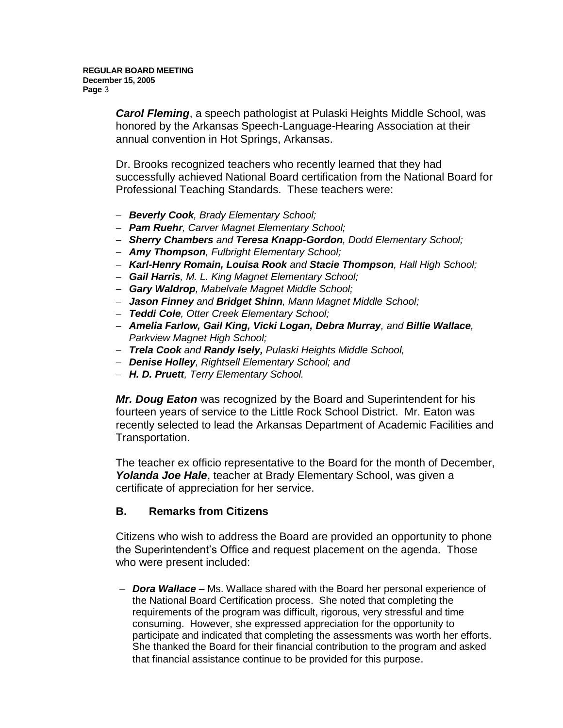*Carol Fleming*, a speech pathologist at Pulaski Heights Middle School, was honored by the Arkansas Speech-Language-Hearing Association at their annual convention in Hot Springs, Arkansas.

Dr. Brooks recognized teachers who recently learned that they had successfully achieved National Board certification from the National Board for Professional Teaching Standards. These teachers were:

- *Beverly Cook, Brady Elementary School;*
- *Pam Ruehr, Carver Magnet Elementary School;*
- *Sherry Chambers and Teresa Knapp-Gordon, Dodd Elementary School;*
- *Amy Thompson, Fulbright Elementary School;*
- *Karl-Henry Romain, Louisa Rook and Stacie Thompson, Hall High School;*
- *Gail Harris, M. L. King Magnet Elementary School;*
- *Gary Waldrop, Mabelvale Magnet Middle School;*
- *Jason Finney and Bridget Shinn, Mann Magnet Middle School;*
- *Teddi Cole, Otter Creek Elementary School;*
- *Amelia Farlow, Gail King, Vicki Logan, Debra Murray, and Billie Wallace, Parkview Magnet High School;*
- *Trela Cook and Randy Isely, Pulaski Heights Middle School,*
- *Denise Holley, Rightsell Elementary School; and*
- *H. D. Pruett, Terry Elementary School.*

*Mr. Doug Eaton* was recognized by the Board and Superintendent for his fourteen years of service to the Little Rock School District. Mr. Eaton was recently selected to lead the Arkansas Department of Academic Facilities and Transportation.

The teacher ex officio representative to the Board for the month of December, *Yolanda Joe Hale*, teacher at Brady Elementary School, was given a certificate of appreciation for her service.

#### **B. Remarks from Citizens**

Citizens who wish to address the Board are provided an opportunity to phone the Superintendent's Office and request placement on the agenda. Those who were present included:

 *Dora Wallace* – Ms. Wallace shared with the Board her personal experience of the National Board Certification process. She noted that completing the requirements of the program was difficult, rigorous, very stressful and time consuming. However, she expressed appreciation for the opportunity to participate and indicated that completing the assessments was worth her efforts. She thanked the Board for their financial contribution to the program and asked that financial assistance continue to be provided for this purpose.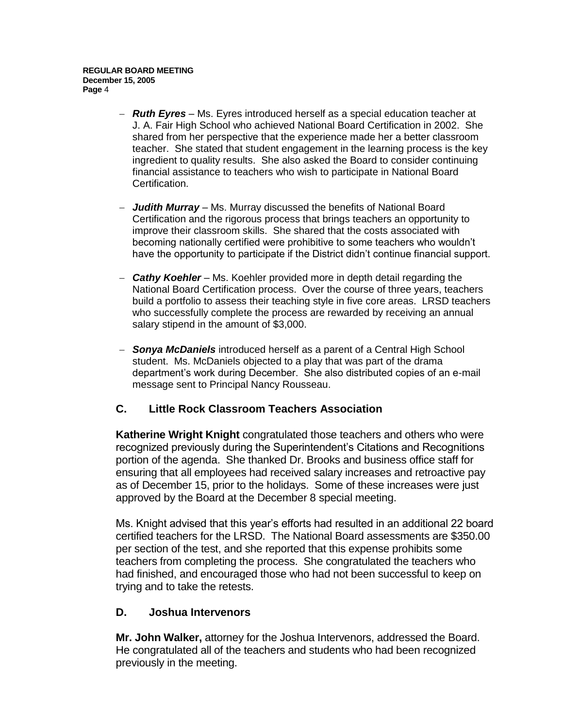- *Ruth Eyres* Ms. Eyres introduced herself as a special education teacher at J. A. Fair High School who achieved National Board Certification in 2002. She shared from her perspective that the experience made her a better classroom teacher. She stated that student engagement in the learning process is the key ingredient to quality results. She also asked the Board to consider continuing financial assistance to teachers who wish to participate in National Board Certification.
- *Judith Murray* Ms. Murray discussed the benefits of National Board Certification and the rigorous process that brings teachers an opportunity to improve their classroom skills. She shared that the costs associated with becoming nationally certified were prohibitive to some teachers who wouldn't have the opportunity to participate if the District didn't continue financial support.
- *Cathy Koehler* Ms. Koehler provided more in depth detail regarding the National Board Certification process. Over the course of three years, teachers build a portfolio to assess their teaching style in five core areas. LRSD teachers who successfully complete the process are rewarded by receiving an annual salary stipend in the amount of \$3,000.
- *Sonya McDaniels* introduced herself as a parent of a Central High School student. Ms. McDaniels objected to a play that was part of the drama department's work during December. She also distributed copies of an e-mail message sent to Principal Nancy Rousseau.

## **C. Little Rock Classroom Teachers Association**

**Katherine Wright Knight** congratulated those teachers and others who were recognized previously during the Superintendent's Citations and Recognitions portion of the agenda. She thanked Dr. Brooks and business office staff for ensuring that all employees had received salary increases and retroactive pay as of December 15, prior to the holidays. Some of these increases were just approved by the Board at the December 8 special meeting.

Ms. Knight advised that this year's efforts had resulted in an additional 22 board certified teachers for the LRSD. The National Board assessments are \$350.00 per section of the test, and she reported that this expense prohibits some teachers from completing the process. She congratulated the teachers who had finished, and encouraged those who had not been successful to keep on trying and to take the retests.

#### **D. Joshua Intervenors**

**Mr. John Walker,** attorney for the Joshua Intervenors, addressed the Board. He congratulated all of the teachers and students who had been recognized previously in the meeting.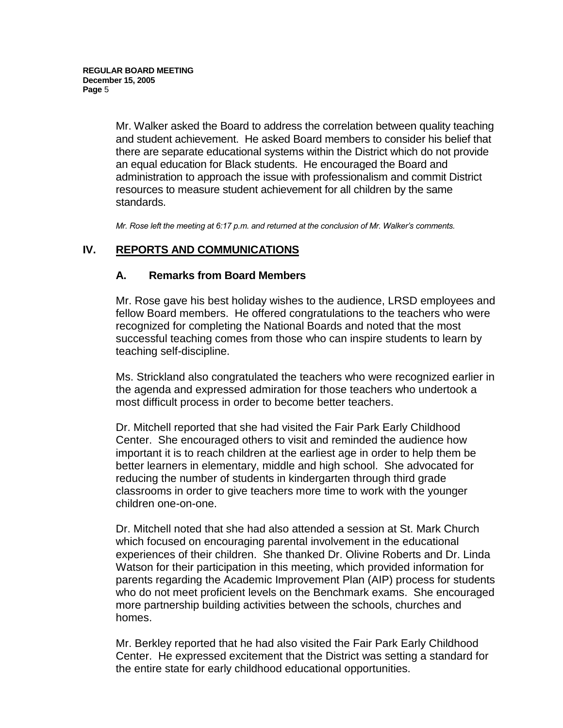Mr. Walker asked the Board to address the correlation between quality teaching and student achievement. He asked Board members to consider his belief that there are separate educational systems within the District which do not provide an equal education for Black students. He encouraged the Board and administration to approach the issue with professionalism and commit District resources to measure student achievement for all children by the same standards.

*Mr. Rose left the meeting at 6:17 p.m. and returned at the conclusion of Mr. Walker's comments.* 

## **IV. REPORTS AND COMMUNICATIONS**

#### **A. Remarks from Board Members**

Mr. Rose gave his best holiday wishes to the audience, LRSD employees and fellow Board members. He offered congratulations to the teachers who were recognized for completing the National Boards and noted that the most successful teaching comes from those who can inspire students to learn by teaching self-discipline.

Ms. Strickland also congratulated the teachers who were recognized earlier in the agenda and expressed admiration for those teachers who undertook a most difficult process in order to become better teachers.

Dr. Mitchell reported that she had visited the Fair Park Early Childhood Center. She encouraged others to visit and reminded the audience how important it is to reach children at the earliest age in order to help them be better learners in elementary, middle and high school. She advocated for reducing the number of students in kindergarten through third grade classrooms in order to give teachers more time to work with the younger children one-on-one.

Dr. Mitchell noted that she had also attended a session at St. Mark Church which focused on encouraging parental involvement in the educational experiences of their children. She thanked Dr. Olivine Roberts and Dr. Linda Watson for their participation in this meeting, which provided information for parents regarding the Academic Improvement Plan (AIP) process for students who do not meet proficient levels on the Benchmark exams. She encouraged more partnership building activities between the schools, churches and homes.

Mr. Berkley reported that he had also visited the Fair Park Early Childhood Center. He expressed excitement that the District was setting a standard for the entire state for early childhood educational opportunities.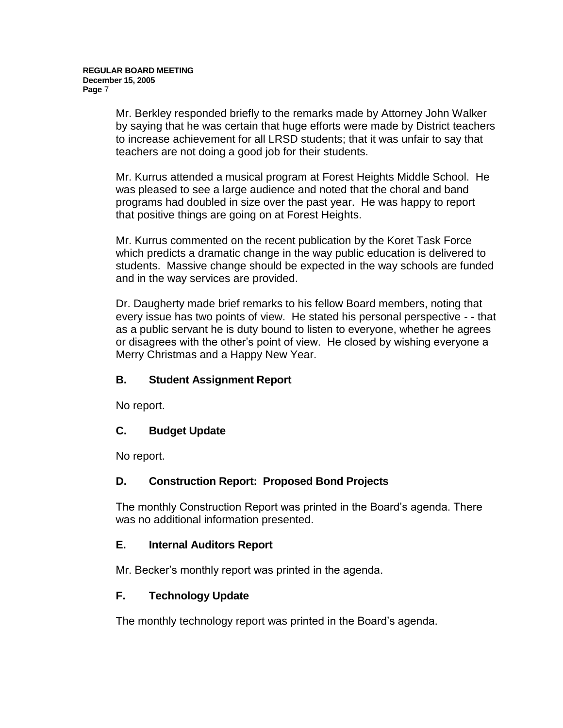Mr. Berkley responded briefly to the remarks made by Attorney John Walker by saying that he was certain that huge efforts were made by District teachers to increase achievement for all LRSD students; that it was unfair to say that teachers are not doing a good job for their students.

Mr. Kurrus attended a musical program at Forest Heights Middle School. He was pleased to see a large audience and noted that the choral and band programs had doubled in size over the past year. He was happy to report that positive things are going on at Forest Heights.

Mr. Kurrus commented on the recent publication by the Koret Task Force which predicts a dramatic change in the way public education is delivered to students. Massive change should be expected in the way schools are funded and in the way services are provided.

Dr. Daugherty made brief remarks to his fellow Board members, noting that every issue has two points of view. He stated his personal perspective - - that as a public servant he is duty bound to listen to everyone, whether he agrees or disagrees with the other's point of view. He closed by wishing everyone a Merry Christmas and a Happy New Year.

## **B. Student Assignment Report**

No report.

## **C. Budget Update**

No report.

## **D. Construction Report: Proposed Bond Projects**

The monthly Construction Report was printed in the Board's agenda. There was no additional information presented.

## **E. Internal Auditors Report**

Mr. Becker's monthly report was printed in the agenda.

## **F. Technology Update**

The monthly technology report was printed in the Board's agenda.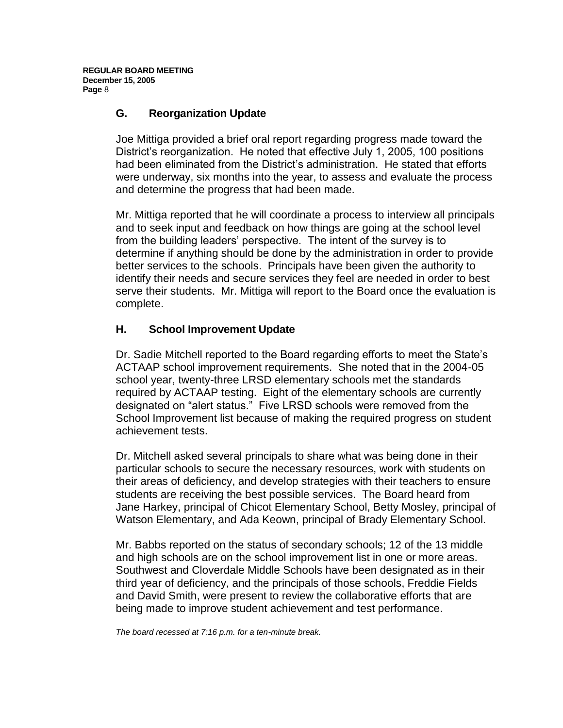### **G. Reorganization Update**

Joe Mittiga provided a brief oral report regarding progress made toward the District's reorganization. He noted that effective July 1, 2005, 100 positions had been eliminated from the District's administration. He stated that efforts were underway, six months into the year, to assess and evaluate the process and determine the progress that had been made.

Mr. Mittiga reported that he will coordinate a process to interview all principals and to seek input and feedback on how things are going at the school level from the building leaders' perspective. The intent of the survey is to determine if anything should be done by the administration in order to provide better services to the schools. Principals have been given the authority to identify their needs and secure services they feel are needed in order to best serve their students. Mr. Mittiga will report to the Board once the evaluation is complete.

## **H. School Improvement Update**

Dr. Sadie Mitchell reported to the Board regarding efforts to meet the State's ACTAAP school improvement requirements. She noted that in the 2004-05 school year, twenty-three LRSD elementary schools met the standards required by ACTAAP testing. Eight of the elementary schools are currently designated on "alert status." Five LRSD schools were removed from the School Improvement list because of making the required progress on student achievement tests.

Dr. Mitchell asked several principals to share what was being done in their particular schools to secure the necessary resources, work with students on their areas of deficiency, and develop strategies with their teachers to ensure students are receiving the best possible services. The Board heard from Jane Harkey, principal of Chicot Elementary School, Betty Mosley, principal of Watson Elementary, and Ada Keown, principal of Brady Elementary School.

Mr. Babbs reported on the status of secondary schools; 12 of the 13 middle and high schools are on the school improvement list in one or more areas. Southwest and Cloverdale Middle Schools have been designated as in their third year of deficiency, and the principals of those schools, Freddie Fields and David Smith, were present to review the collaborative efforts that are being made to improve student achievement and test performance.

*The board recessed at 7:16 p.m. for a ten-minute break.*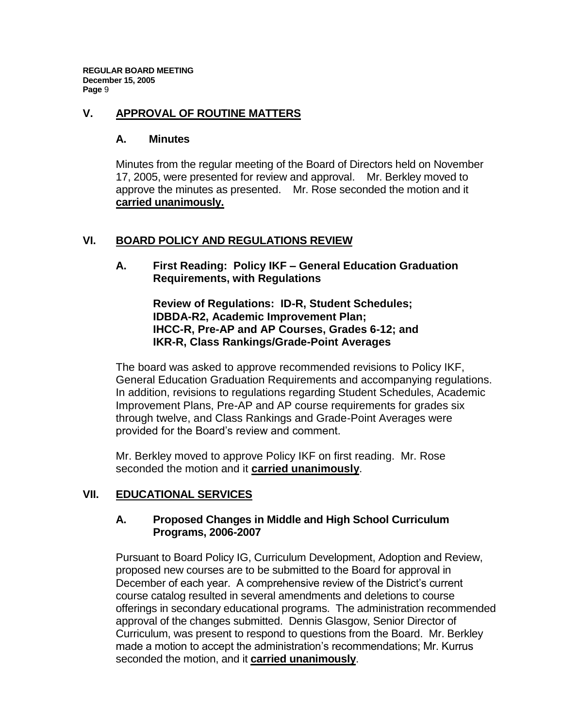#### **V. APPROVAL OF ROUTINE MATTERS**

#### **A. Minutes**

Minutes from the regular meeting of the Board of Directors held on November 17, 2005, were presented for review and approval. Mr. Berkley moved to approve the minutes as presented. Mr. Rose seconded the motion and it **carried unanimously.**

## **VI. BOARD POLICY AND REGULATIONS REVIEW**

**A. First Reading: Policy IKF – General Education Graduation Requirements, with Regulations**

> **Review of Regulations: ID-R, Student Schedules; IDBDA-R2, Academic Improvement Plan; IHCC-R, Pre-AP and AP Courses, Grades 6-12; and IKR-R, Class Rankings/Grade-Point Averages**

The board was asked to approve recommended revisions to Policy IKF, General Education Graduation Requirements and accompanying regulations. In addition, revisions to regulations regarding Student Schedules, Academic Improvement Plans, Pre-AP and AP course requirements for grades six through twelve, and Class Rankings and Grade-Point Averages were provided for the Board's review and comment.

Mr. Berkley moved to approve Policy IKF on first reading. Mr. Rose seconded the motion and it **carried unanimously**.

## **VII. EDUCATIONAL SERVICES**

### **A. Proposed Changes in Middle and High School Curriculum Programs, 2006-2007**

Pursuant to Board Policy IG, Curriculum Development, Adoption and Review, proposed new courses are to be submitted to the Board for approval in December of each year. A comprehensive review of the District's current course catalog resulted in several amendments and deletions to course offerings in secondary educational programs. The administration recommended approval of the changes submitted. Dennis Glasgow, Senior Director of Curriculum, was present to respond to questions from the Board. Mr. Berkley made a motion to accept the administration's recommendations; Mr. Kurrus seconded the motion, and it **carried unanimously**.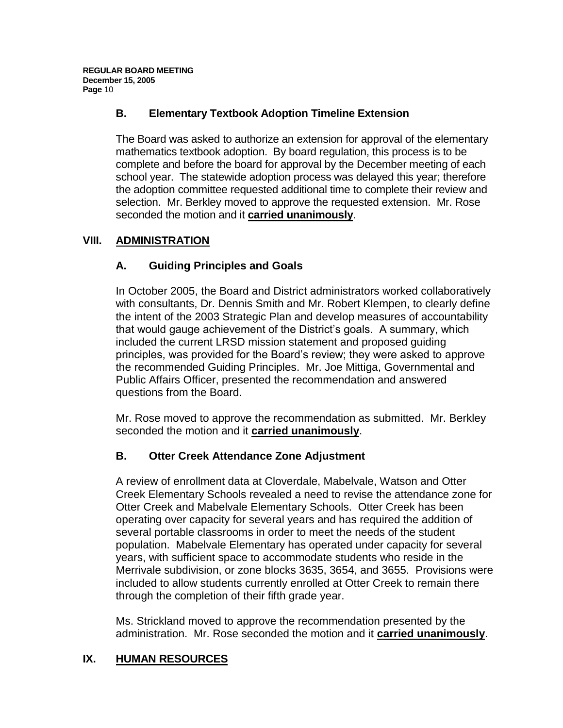# **B. Elementary Textbook Adoption Timeline Extension**

The Board was asked to authorize an extension for approval of the elementary mathematics textbook adoption. By board regulation, this process is to be complete and before the board for approval by the December meeting of each school year. The statewide adoption process was delayed this year; therefore the adoption committee requested additional time to complete their review and selection. Mr. Berkley moved to approve the requested extension. Mr. Rose seconded the motion and it **carried unanimously**.

## **VIII. ADMINISTRATION**

# **A. Guiding Principles and Goals**

In October 2005, the Board and District administrators worked collaboratively with consultants, Dr. Dennis Smith and Mr. Robert Klempen, to clearly define the intent of the 2003 Strategic Plan and develop measures of accountability that would gauge achievement of the District's goals. A summary, which included the current LRSD mission statement and proposed guiding principles, was provided for the Board's review; they were asked to approve the recommended Guiding Principles. Mr. Joe Mittiga, Governmental and Public Affairs Officer, presented the recommendation and answered questions from the Board.

Mr. Rose moved to approve the recommendation as submitted. Mr. Berkley seconded the motion and it **carried unanimously**.

## **B. Otter Creek Attendance Zone Adjustment**

A review of enrollment data at Cloverdale, Mabelvale, Watson and Otter Creek Elementary Schools revealed a need to revise the attendance zone for Otter Creek and Mabelvale Elementary Schools. Otter Creek has been operating over capacity for several years and has required the addition of several portable classrooms in order to meet the needs of the student population. Mabelvale Elementary has operated under capacity for several years, with sufficient space to accommodate students who reside in the Merrivale subdivision, or zone blocks 3635, 3654, and 3655. Provisions were included to allow students currently enrolled at Otter Creek to remain there through the completion of their fifth grade year.

Ms. Strickland moved to approve the recommendation presented by the administration. Mr. Rose seconded the motion and it **carried unanimously**.

## **IX. HUMAN RESOURCES**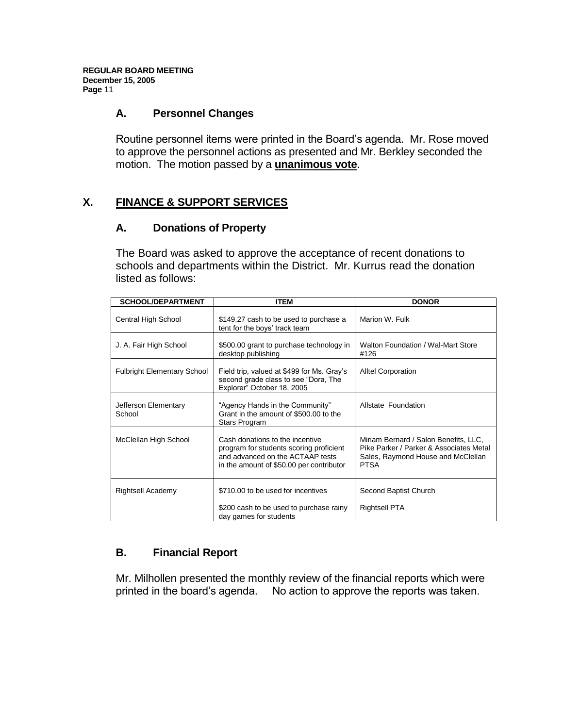### **A. Personnel Changes**

Routine personnel items were printed in the Board's agenda. Mr. Rose moved to approve the personnel actions as presented and Mr. Berkley seconded the motion. The motion passed by a **unanimous vote**.

## **X. FINANCE & SUPPORT SERVICES**

#### **A. Donations of Property**

The Board was asked to approve the acceptance of recent donations to schools and departments within the District. Mr. Kurrus read the donation listed as follows:

| <b>SCHOOL/DEPARTMENT</b>           | <b>ITEM</b>                                                                                                                                                | <b>DONOR</b>                                                                                                                          |
|------------------------------------|------------------------------------------------------------------------------------------------------------------------------------------------------------|---------------------------------------------------------------------------------------------------------------------------------------|
| Central High School                | \$149.27 cash to be used to purchase a<br>tent for the boys' track team                                                                                    | Marion W. Fulk                                                                                                                        |
| J. A. Fair High School             | \$500.00 grant to purchase technology in<br>desktop publishing                                                                                             | Walton Foundation / Wal-Mart Store<br>#126                                                                                            |
| <b>Fulbright Elementary School</b> | Field trip, valued at \$499 for Ms. Gray's<br>second grade class to see "Dora, The<br>Explorer" October 18, 2005                                           | <b>Alltel Corporation</b>                                                                                                             |
| Jefferson Elementary<br>School     | "Agency Hands in the Community"<br>Grant in the amount of \$500.00 to the<br>Stars Program                                                                 | Allstate Foundation                                                                                                                   |
| McClellan High School              | Cash donations to the incentive<br>program for students scoring proficient<br>and advanced on the ACTAAP tests<br>in the amount of \$50.00 per contributor | Miriam Bernard / Salon Benefits, LLC,<br>Pike Parker / Parker & Associates Metal<br>Sales, Raymond House and McClellan<br><b>PTSA</b> |
| Rightsell Academy                  | \$710.00 to be used for incentives<br>\$200 cash to be used to purchase rainy<br>day games for students                                                    | Second Baptist Church<br><b>Rightsell PTA</b>                                                                                         |

## **B. Financial Report**

Mr. Milhollen presented the monthly review of the financial reports which were printed in the board's agenda. No action to approve the reports was taken.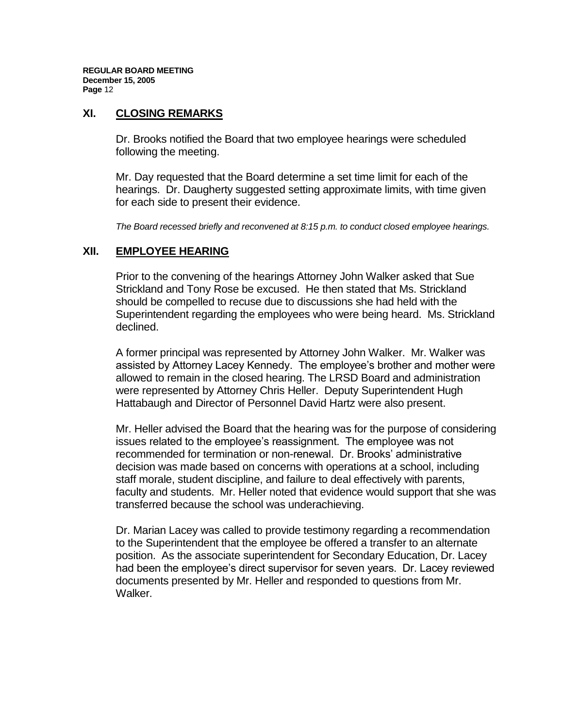#### **XI. CLOSING REMARKS**

Dr. Brooks notified the Board that two employee hearings were scheduled following the meeting.

Mr. Day requested that the Board determine a set time limit for each of the hearings. Dr. Daugherty suggested setting approximate limits, with time given for each side to present their evidence.

*The Board recessed briefly and reconvened at 8:15 p.m. to conduct closed employee hearings.* 

#### **XII. EMPLOYEE HEARING**

Prior to the convening of the hearings Attorney John Walker asked that Sue Strickland and Tony Rose be excused. He then stated that Ms. Strickland should be compelled to recuse due to discussions she had held with the Superintendent regarding the employees who were being heard. Ms. Strickland declined.

A former principal was represented by Attorney John Walker. Mr. Walker was assisted by Attorney Lacey Kennedy. The employee's brother and mother were allowed to remain in the closed hearing. The LRSD Board and administration were represented by Attorney Chris Heller. Deputy Superintendent Hugh Hattabaugh and Director of Personnel David Hartz were also present.

Mr. Heller advised the Board that the hearing was for the purpose of considering issues related to the employee's reassignment. The employee was not recommended for termination or non-renewal. Dr. Brooks' administrative decision was made based on concerns with operations at a school, including staff morale, student discipline, and failure to deal effectively with parents, faculty and students. Mr. Heller noted that evidence would support that she was transferred because the school was underachieving.

Dr. Marian Lacey was called to provide testimony regarding a recommendation to the Superintendent that the employee be offered a transfer to an alternate position. As the associate superintendent for Secondary Education, Dr. Lacey had been the employee's direct supervisor for seven years. Dr. Lacey reviewed documents presented by Mr. Heller and responded to questions from Mr. Walker.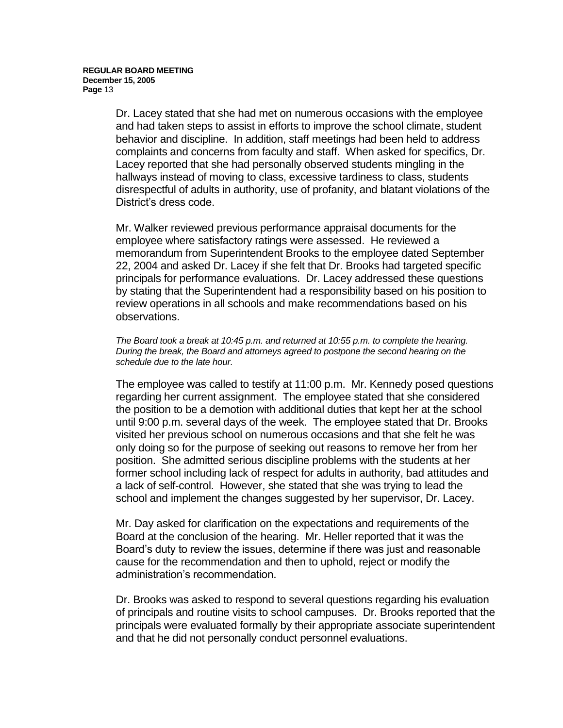Dr. Lacey stated that she had met on numerous occasions with the employee and had taken steps to assist in efforts to improve the school climate, student behavior and discipline. In addition, staff meetings had been held to address complaints and concerns from faculty and staff. When asked for specifics, Dr. Lacey reported that she had personally observed students mingling in the hallways instead of moving to class, excessive tardiness to class, students disrespectful of adults in authority, use of profanity, and blatant violations of the District's dress code.

Mr. Walker reviewed previous performance appraisal documents for the employee where satisfactory ratings were assessed. He reviewed a memorandum from Superintendent Brooks to the employee dated September 22, 2004 and asked Dr. Lacey if she felt that Dr. Brooks had targeted specific principals for performance evaluations. Dr. Lacey addressed these questions by stating that the Superintendent had a responsibility based on his position to review operations in all schools and make recommendations based on his observations.

*The Board took a break at 10:45 p.m. and returned at 10:55 p.m. to complete the hearing. During the break, the Board and attorneys agreed to postpone the second hearing on the schedule due to the late hour.*

The employee was called to testify at 11:00 p.m. Mr. Kennedy posed questions regarding her current assignment. The employee stated that she considered the position to be a demotion with additional duties that kept her at the school until 9:00 p.m. several days of the week. The employee stated that Dr. Brooks visited her previous school on numerous occasions and that she felt he was only doing so for the purpose of seeking out reasons to remove her from her position. She admitted serious discipline problems with the students at her former school including lack of respect for adults in authority, bad attitudes and a lack of self-control. However, she stated that she was trying to lead the school and implement the changes suggested by her supervisor, Dr. Lacey.

Mr. Day asked for clarification on the expectations and requirements of the Board at the conclusion of the hearing. Mr. Heller reported that it was the Board's duty to review the issues, determine if there was just and reasonable cause for the recommendation and then to uphold, reject or modify the administration's recommendation.

Dr. Brooks was asked to respond to several questions regarding his evaluation of principals and routine visits to school campuses. Dr. Brooks reported that the principals were evaluated formally by their appropriate associate superintendent and that he did not personally conduct personnel evaluations.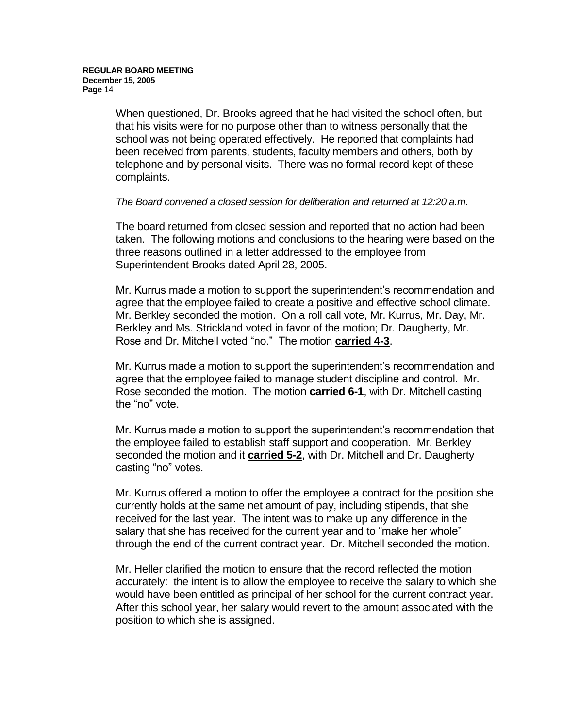When questioned, Dr. Brooks agreed that he had visited the school often, but that his visits were for no purpose other than to witness personally that the school was not being operated effectively. He reported that complaints had been received from parents, students, faculty members and others, both by telephone and by personal visits. There was no formal record kept of these complaints.

#### *The Board convened a closed session for deliberation and returned at 12:20 a.m.*

The board returned from closed session and reported that no action had been taken. The following motions and conclusions to the hearing were based on the three reasons outlined in a letter addressed to the employee from Superintendent Brooks dated April 28, 2005.

Mr. Kurrus made a motion to support the superintendent's recommendation and agree that the employee failed to create a positive and effective school climate. Mr. Berkley seconded the motion. On a roll call vote, Mr. Kurrus, Mr. Day, Mr. Berkley and Ms. Strickland voted in favor of the motion; Dr. Daugherty, Mr. Rose and Dr. Mitchell voted "no." The motion **carried 4-3**.

Mr. Kurrus made a motion to support the superintendent's recommendation and agree that the employee failed to manage student discipline and control. Mr. Rose seconded the motion. The motion **carried 6-1**, with Dr. Mitchell casting the "no" vote.

Mr. Kurrus made a motion to support the superintendent's recommendation that the employee failed to establish staff support and cooperation. Mr. Berkley seconded the motion and it **carried 5-2**, with Dr. Mitchell and Dr. Daugherty casting "no" votes.

Mr. Kurrus offered a motion to offer the employee a contract for the position she currently holds at the same net amount of pay, including stipends, that she received for the last year. The intent was to make up any difference in the salary that she has received for the current year and to "make her whole" through the end of the current contract year. Dr. Mitchell seconded the motion.

Mr. Heller clarified the motion to ensure that the record reflected the motion accurately: the intent is to allow the employee to receive the salary to which she would have been entitled as principal of her school for the current contract year. After this school year, her salary would revert to the amount associated with the position to which she is assigned.